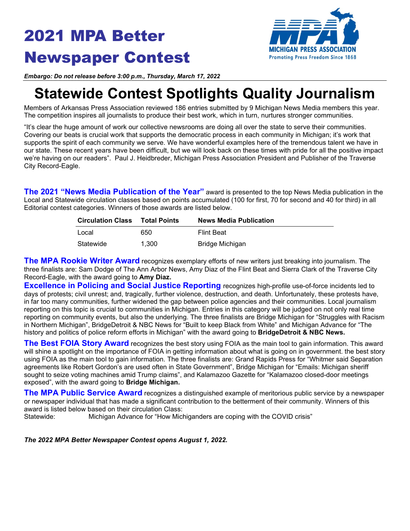# 2021 MPA Better Newspaper Contest



*Embargo: Do not release before 3:00 p.m., Thursday, March 17, 2022*

## **Statewide Contest Spotlights Quality Journalism**

Members of Arkansas Press Association reviewed 186 entries submitted by 9 Michigan News Media members this year. The competition inspires all journalists to produce their best work, which in turn, nurtures stronger communities.

"It's clear the huge amount of work our collective newsrooms are doing all over the state to serve their communities. Covering our beats is crucial work that supports the democratic process in each community in Michigan; it's work that supports the spirit of each community we serve. We have wonderful examples here of the tremendous talent we have in our state. These recent years have been difficult, but we will look back on these times with pride for all the positive impact we're having on our readers". Paul J. Heidbreder, Michigan Press Association President and Publisher of the Traverse City Record-Eagle.

**The 2021 "News Media Publication of the Year"** award is presented to the top News Media publication in the Local and Statewide circulation classes based on points accumulated (100 for first, 70 for second and 40 for third) in all Editorial contest categories. Winners of those awards are listed below.

| <b>Circulation Class</b> | Total Points | <b>News Media Publication</b> |
|--------------------------|--------------|-------------------------------|
| Local                    | 650          | <b>Flint Beat</b>             |
| Statewide                | 1.300        | Bridge Michigan               |

**The MPA Rookie Writer Award** recognizes exemplary efforts of new writers just breaking into journalism. The three finalists are: Sam Dodge of The Ann Arbor News, Amy Diaz of the Flint Beat and Sierra Clark of the Traverse City Record-Eagle, with the award going to **Amy Diaz.**

**Excellence in Policing and Social Justice Reporting** recognizes high-profile use-of-force incidents led to days of protests; civil unrest; and, tragically, further violence, destruction, and death. Unfortunately, these protests have, in far too many communities, further widened the gap between police agencies and their communities. Local journalism reporting on this topic is crucial to communities in Michigan. Entries in this category will be judged on not only real time reporting on community events, but also the underlying. The three finalists are Bridge Michigan for "Struggles with Racism in Northern Michigan", BridgeDetroit & NBC News for "Built to keep Black from White" and Michigan Advance for "The history and politics of police reform efforts in Michigan" with the award going to **BridgeDetroit & NBC News.**

**The Best FOIA Story Award** recognizes the best story using FOIA as the main tool to gain information. This award will shine a spotlight on the importance of FOIA in getting information about what is going on in government. the best story using FOIA as the main tool to gain information. The three finalists are: Grand Rapids Press for "Whitmer said Separation agreements like Robert Gordon's are used often in State Government", Bridge Michigan for "Emails: Michigan sheriff sought to seize voting machines amid Trump claims", and Kalamazoo Gazette for "Kalamazoo closed-door meetings exposed", with the award going to **Bridge Michigan.**

**The MPA Public Service Award** recognizes a distinguished example of meritorious public service by a newspaper or newspaper individual that has made a significant contribution to the betterment of their community. Winners of this award is listed below based on their circulation Class:

Michigan Advance for "How Michiganders are coping with the COVID crisis"

*The 2022 MPA Better Newspaper Contest opens August 1, 2022.*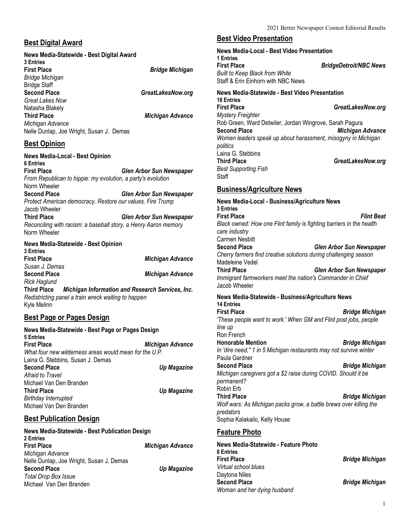#### **Best Digital Award**

#### **News Media-Statewide - Best Digital Award 3 Entries First Place** *Bridge Michigan Bridge Michigan* **Bridge Staff**<br>**Second Place Second Place** *GreatLakesNow.org Great Lakes Now* Natasha Blakely **Third Place** *Michigan Advance Michigan Advance* Nelle Dunlap, Joe Wright, Susan J. Demas

## **Best Opinion**

**News Media-Local - Best Opinion 6 Entries First Place** *Glen Arbor Sun Newspaper From Republican to hippie: my evolution, a party's evolution* Norm Wheeler **Second Place** *Glen Arbor Sun Newspaper Protect American democracy. Restore our values. Fire Trump* Jacob Wheeler **Third Place** *Glen Arbor Sun Newspaper Reconciling with racism: a baseball story, a Henry Aaron memory* Norm Wheeler **News Media-Statewide - Best Opinion 3 Entries First Place** *Michigan Advance Susan J. Demas* **Second Place** *Michigan Advance*

*Rick Haglund* **Third Place** *Michigan Information and Research Services, Inc. Redistricting panel a train wreck waiting to happen* Kyle Melinn

## **Best Page or Pages Design**

**News Media-Statewide - Best Page or Pages Design 5 Entries First Place** *Michigan Advance What four new wilderness areas would mean for the U.P.* Laina G. Stebbins, Susan J. Demas<br>Second Place **Second Place** *Up Magazine Afraid to Travel* Michael Van Den Branden<br>Third Place *Up Magazine Birthday Interrupted* Michael Van Den Branden

## **Best Publication Design**

| News Media-Statewide - Best Publication Design<br>2 Entries |                         |
|-------------------------------------------------------------|-------------------------|
| <b>First Place</b>                                          | <b>Michigan Advance</b> |
| Michigan Advance                                            |                         |
| Nelle Dunlap, Joe Wright, Susan J. Demas                    |                         |
| <b>Second Place</b>                                         | Up Magazine             |
| <b>Total Drop Box Issue</b>                                 |                         |
| Michael Van Den Branden                                     |                         |
|                                                             |                         |

## **Best Video Presentation**

**News Media-Local - Best Video Presentation 1 Entries First Place** *BridgeDetroit/NBC News Built to Keep Black from White* Staff & Erin Einhorn with NBC News **News Media-Statewide - Best Video Presentation 18 Entries First Place** *GreatLakesNow.org Mystery Freighter* Rob Green, Ward Detwiler, Jordan Wingrove, Sarah Pagura<br>Second Place **Michiaan Second Place** *Michigan Advance Women leaders speak up about harassment, misogyny in Michigan politics* Laina G. Stebbins **Third Place** *GreatLakesNow.org Best Supporting Fish* **Staff** 

## **Business/Agriculture News**

**News Media-Local - Business/Agriculture News 3 Entries First Place** *Flint Beat Black owned: How one Flint family is fighting barriers in the health care industry* Carmen Nesbitt<br>Second Place **Second Place** *Glen Arbor Sun Newspaper Cherry farmers find creative solutions during challenging season* Madeleine Vedel<br>Third Place **Third Place** *Glen Arbor Sun Newspaper Immigrant farmworkers meet the nation's Commander in Chief* Jacob Wheeler **News Media-Statewide - Business/Agriculture News 14 Entries First Place** *Bridge Michigan 'These people want to work.' When GM and Flint post jobs, people line up* Ron French<br>Honorable Mention **Honorable Mention** *Bridge Michigan In 'dire need," 1 in 5 Michigan restaurants may not survive winter* Paula Gardner **Second Place** *Bridge Michigan Michigan caregivers got a \$2 raise during COVID. Should it be permanent?* Robin Erb **Third Place** *Bridge Michigan Wolf wars: As Michigan packs grow, a battle brews over killing the predators* Sophia Kalakailo, Kelly House

#### **Feature Photo**

| News Media-Statewide - Feature Photo |                        |
|--------------------------------------|------------------------|
| 6 Entries                            |                        |
| First Place                          | <b>Bridge Michigan</b> |
| Virtual school blues                 |                        |
| Daytona Niles                        |                        |
| <b>Second Place</b>                  | <b>Bridge Michigan</b> |
| Woman and her dying husband          |                        |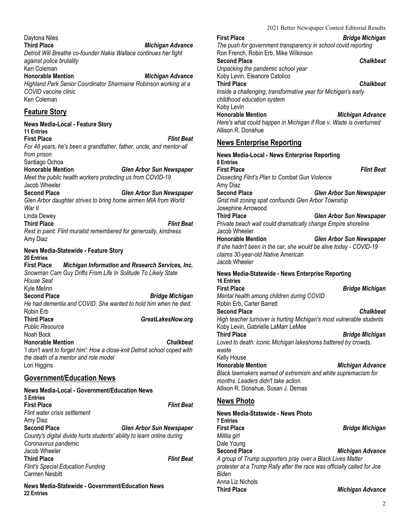2021 Better Newspaper Contest Editorial Results

| Daytona Niles<br><b>Third Place</b><br>Michigan Advance<br>Detroit Will Breathe co-founder Nakia Wallace continues her fight<br>against police brutality<br>Ken Coleman<br><b>Honorable Mention</b><br>Michigan Advance<br>Highland Park Senior Coordinator Sharmaine Robinson working at a<br>COVID vaccine clinic<br>Ken Coleman |
|------------------------------------------------------------------------------------------------------------------------------------------------------------------------------------------------------------------------------------------------------------------------------------------------------------------------------------|
| <b>Feature Story</b>                                                                                                                                                                                                                                                                                                               |
| News Media-Local - Feature Story<br><b>11 Entries</b><br><b>First Place</b><br><b>Flint Beat</b><br>For 48 years, he's been a grandfather, father, uncle, and mentor-all<br>from prison                                                                                                                                            |

Santiago Ochoa **Honorable Mention** *Glen Arbor Sun Newspaper Meet the public health workers protecting us from COVID-19*

Jacob Wheeler<br>Second Place **Second Place** *Glen Arbor Sun Newspaper Glen Arbor daughter strives to bring home airmen MIA from World War II* Linda Dewey

**Third Place** *Flint Beat Rest in paint: Flint muralist remembered for generosity, kindness* Amy Diaz

**News Media-Statewide - Feature Story 20 Entries Michigan Information and Research Services, Inc.** *Snowman Cam Guy Drifts From Life In Solitude To Likely State House Seat* Kyle Melinn<br>Second Place **Second Place** *Bridge Michigan He had dementia and COVID. She wanted to hold him when he died.* Robin Erb **Third Place** *GreatLakesNow.org Public Resource* Noah Bock **Honorable Mention** *Chalkbeat 'I don't want to forget him': How a close-knit Detroit school coped with the death of a mentor and role model* Lori Higgins

#### **Government/Education News**

| <b>News Media-Local - Government/Education News</b><br><b>3 Entries</b> |                                 |
|-------------------------------------------------------------------------|---------------------------------|
| <b>First Place</b>                                                      | <b>Flint Beat</b>               |
| Flint water crisis settlement                                           |                                 |
| Amy Diaz                                                                |                                 |
| <b>Second Place</b>                                                     | <b>Glen Arbor Sun Newspaper</b> |
| County's digital divide hurts students' ability to learn online during  |                                 |
| Coronavirus pandemic                                                    |                                 |
| Jacob Wheeler                                                           |                                 |
| <b>Third Place</b>                                                      | <b>Flint Beat</b>               |
| <b>Flint's Special Education Funding</b>                                |                                 |
| <b>Carmen Nesbitt</b>                                                   |                                 |
|                                                                         |                                 |

**News Media-Statewide - Government/Education News 22 Entries**

**First Place** *Bridge Michigan The push for government transparency in school covid reporting* Ron French, Robin Erb, Mike Wilkinson **Second Place** *Chalkbeat Unpacking the pandemic school year* Koby Levin, Eleanore Catolico **Third Place** *Chalkbeat Inside a challenging, transformative year for Michigan's early childhood education system* Koby Levin **Honorable Mention** *Michigan Advance Here's what could happen in Michigan if Roe v. Wade is overturned* Allison R. Donahue

#### **News Enterprise Reporting**

| <b>News Media-Local - News Enterprise Reporting</b>                                                                                                                                                              |
|------------------------------------------------------------------------------------------------------------------------------------------------------------------------------------------------------------------|
| <b>8 Entries</b><br><b>First Place</b><br><b>Flint Beat</b><br>Dissecting Flint's Plan to Combat Gun Violence<br>Amy Diaz                                                                                        |
| <b>Second Place</b><br><b>Glen Arbor Sun Newspaper</b><br>Grist mill zoning spat confounds Glen Arbor Township<br>Josephine Arrowood                                                                             |
| <b>Third Place</b><br><b>Glen Arbor Sun Newspaper</b><br>Private beach wall could dramatically change Empire shoreline<br>Jacob Wheeler                                                                          |
| <b>Honorable Mention</b><br><b>Glen Arbor Sun Newspaper</b><br>If she hadn't been in the car, she would be alive today - COVID-19<br>claims 30-year-old Native American<br>Jacob Wheeler                         |
| News Media-Statewide - News Enterprise Reporting<br><b>16 Entries</b>                                                                                                                                            |
| <b>First Place</b><br><b>Bridge Michigan</b><br>Mental health among children during COVID<br>Robin Erb, Carter Barrett                                                                                           |
| <b>Second Place</b><br>Chalkbeat<br>High teacher turnover is hurting Michigan's most vulnerable students<br>Koby Levin, Gabrielle LaMarr LeMee                                                                   |
| <b>Third Place</b><br><b>Bridge Michigan</b><br>Loved to death: iconic Michigan lakeshores battered by crowds,<br>waste                                                                                          |
| Kelly House<br><b>Honorable Mention</b><br><b>Michigan Advance</b><br>Black lawmakers warned of extremism and white supremacism for<br>months. Leaders didn't take action.<br>Allison R. Donahue, Susan J. Demas |
| <b>News Photo</b>                                                                                                                                                                                                |
| News Media-Statewide - News Photo<br><b>7 Entries</b>                                                                                                                                                            |
| <b>First Place</b><br><b>Bridge Michigan</b><br>Militia girl                                                                                                                                                     |
| Dale Young<br><b>Second Place</b><br>Michigan Advance                                                                                                                                                            |

*A group of Trump supporters pray over a Black Lives Matter protester at a Trump Rally after the race was officially called for Joe Biden* Anna Liz Nichols **Third Place** *Michigan Advance*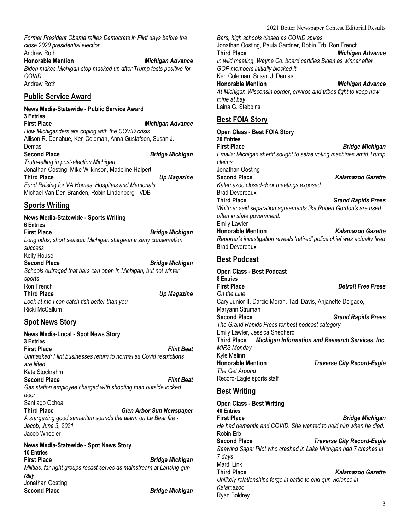*Former President Obama rallies Democrats in Flint days before the close 2020 presidential election*

Andrew Roth **Honorable Mention** *Michigan Advance Biden makes Michigan stop masked up after Trump tests positive for COVID* Andrew Roth

#### **Public Service Award**

**News Media-Statewide - Public Service Award 3 Entries First Place** *Michigan Advance How Michiganders are coping with the COVID crisis* Allison R. Donahue, Ken Coleman, Anna Gustafson, Susan J. Demas<br>Second Place **Second Place** *Bridge Michigan Truth-telling in post-election Michigan* Jonathan Oosting, Mike Wilkinson, Madeline Halpert **Third Place** *Up Magazine Fund Raising for VA Homes, Hospitals and Memorials* Michael Van Den Branden, Robin Lindenberg - VDB

#### **Sports Writing**

**News Media-Statewide - Sports Writing 6 Entries First Place** *Bridge Michigan Long odds, short season: Michigan sturgeon a zany conservation success* Kelly House<br>Second Place **Second Place** *Bridge Michigan Schools outraged that bars can open in Michigan, but not winter sports* Ron French<br>Third Place *Up Magazine Look at me I can catch fish better than you* Ricki McCallum

#### **Spot News Story**

**News Media-Local - Spot News Story 3 Entries First Place** *Flint Beat Unmasked: Flint businesses return to normal as Covid restrictions are lifted* Kate Stockrahm **Second Place** *Flint Beat Gas station employee charged with shooting man outside locked door* Santiago Ochoa **Third Place** *Glen Arbor Sun Newspaper A stargazing good samaritan sounds the alarm on Le Bear fire - Jacob, June 3, 2021* Jacob Wheeler **News Media-Statewide - Spot News Story 10 Entries First Place** *Bridge Michigan Militias, far-right groups recast selves as mainstream at Lansing gun rally*

**Second Place** *Bridge Michigan*

Jonathan Oosting<br>Second Place

2021 Better Newspaper Contest Editorial Results

*Bars, high schools closed as COVID spikes* Jonathan Oosting, Paula Gardner, Robin Erb, Ron French **Third Place** *Michigan Advance In wild meeting, Wayne Co. board certifies Biden as winner after GOP members initially blocked it* Ken Coleman, Susan J. Demas **Honorable Mention** *Michigan Advance At Michigan-Wisconsin border, enviros and tribes fight to keep new mine at bay* Laina G. Stebbins

#### **Best FOIA Story**

**Open Class - Best FOIA Story 20 Entries First Place** *Bridge Michigan Emails: Michigan sheriff sought to seize voting machines amid Trump claims* Jonathan Oosting **Second Place** *Kalamazoo Gazette Kalamazoo closed-door meetings exposed* Brad Devereaux **Third Place** *Grand Rapids Press Whitmer said separation agreements like Robert Gordon's are used often in state government.* Emily Lawler **Honorable Mention** *Kalamazoo Gazette Reporter's investigation reveals 'retired' police chief was actually fired* Brad Devereaux **Best Podcast Open Class - Best Podcast 8 Entries First Place** *Detroit Free Press On the Line* Cary Junior II, Darcie Moran, Tad Davis, Anjanette Delgado, Maryann Struman<br>Second Place **Second Place** *Grand Rapids Press The Grand Rapids Press for best podcast category* Emily Lawler, Jessica Shepherd **Third Place** *Michigan Information and Research Services, Inc. MIRS Monday* Kyle Melinn **Honorable Mention** *Traverse City Record-Eagle The Get Around* Record-Eagle sports staff

#### **Best Writing**

**Open Class - Best Writing 40 Entries First Place** *Bridge Michigan He had dementia and COVID. She wanted to hold him when he died.* Robin Erb **Second Place** *Traverse City Record-Eagle Seawind Saga: Pilot who crashed in Lake Michigan had 7 crashes in 7 days* Mardi Link<br>Third Place **Third Place** *Kalamazoo Gazette Unlikely relationships forge in battle to end gun violence in Kalamazoo* Ryan Boldrey